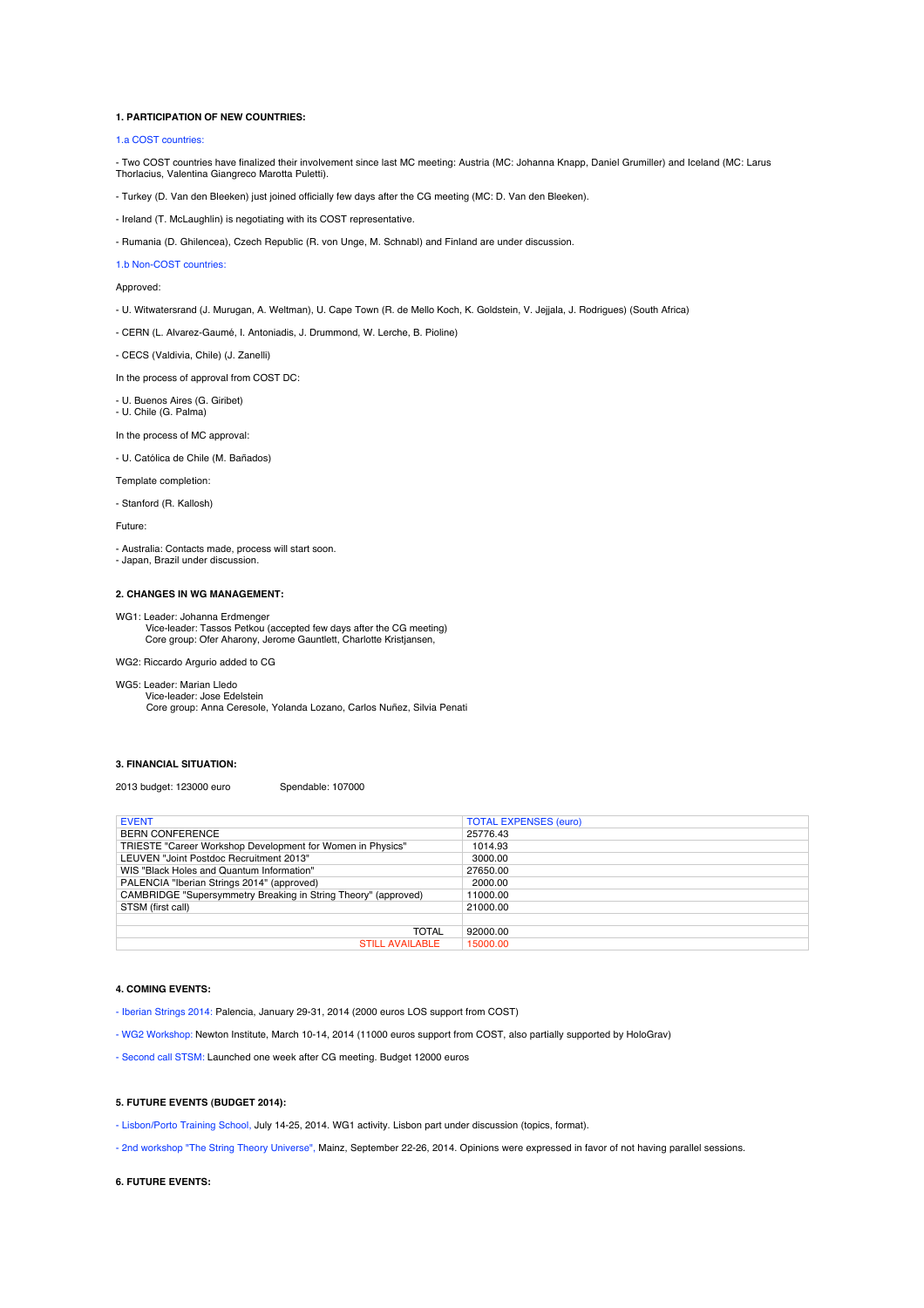#### **1. PARTICIPATION OF NEW COUNTRIES:**

#### 1.a COST countries:

- Two COST countries have finalized their involvement since last MC meeting: Austria (MC: Johanna Knapp, Daniel Grumiller) and Iceland (MC: Larus Thorlacius, Valentina Giangreco Marotta Puletti).

- Turkey (D. Van den Bleeken) just joined officially few days after the CG meeting (MC: D. Van den Bleeken).

- Ireland (T. McLaughlin) is negotiating with its COST representative.

- Rumania (D. Ghilencea), Czech Republic (R. von Unge, M. Schnabl) and Finland are under discussion.

#### 1.b Non-COST countries:

Approved:

- U. Witwatersrand (J. Murugan, A. Weltman), U. Cape Town (R. de Mello Koch, K. Goldstein, V. Jejjala, J. Rodrigues) (South Africa)

- CERN (L. Alvarez-Gaumé, I. Antoniadis, J. Drummond, W. Lerche, B. Pioline)

- CECS (Valdivia, Chile) (J. Zanelli)

In the process of approval from COST DC:

- U. Buenos Aires (G. Giribet)

- U. Chile (G. Palma)

In the process of MC approval:

- U. Católica de Chile (M. Bañados)

Template completion:

- Stanford (R. Kallosh)

Future:

- Australia: Contacts made, process will start soon.

- Japan, Brazil under discussion.

## **2. CHANGES IN WG MANAGEMENT:**

WG1: Leader: Johanna Erdmenger Vice-leader: Tassos Petkou (accepted few days after the CG meeting) Core group: Ofer Aharony, Jerome Gauntlett, Charlotte Kristjansen,

WG2: Riccardo Argurio added to CG

# WG5: Leader: Marian Lledo

 Vice-leader: Jose Edelstein Core group: Anna Ceresole, Yolanda Lozano, Carlos Nuñez, Silvia Penati

### **3. FINANCIAL SITUATION:**

2013 budget: 123000 euro Spendable: 107000

| <b>EVENT</b>                                                   | <b>TOTAL EXPENSES (euro)</b> |
|----------------------------------------------------------------|------------------------------|
| <b>BERN CONFERENCE</b>                                         | 25776.43                     |
| TRIESTE "Career Workshop Development for Women in Physics"     | 1014.93                      |
| LEUVEN "Joint Postdoc Recruitment 2013"                        | 3000.00                      |
| WIS "Black Holes and Quantum Information"                      | 27650.00                     |
| PALENCIA "Iberian Strings 2014" (approved)                     | 2000.00                      |
| CAMBRIDGE "Supersymmetry Breaking in String Theory" (approved) | 11000.00                     |
| STSM (first call)                                              | 21000.00                     |
|                                                                |                              |
| TOTAL                                                          | 92000.00                     |
| <b>STILL AVAILABLE</b>                                         | 15000.00                     |

#### **4. COMING EVENTS:**

- Iberian Strings 2014: Palencia, January 29-31, 2014 (2000 euros LOS support from COST)

- WG2 Workshop: Newton Institute, March 10-14, 2014 (11000 euros support from COST, also partially supported by HoloGrav)

- Second call STSM: Launched one week after CG meeting. Budget 12000 euros

#### **5. FUTURE EVENTS (BUDGET 2014):**

- Lisbon/Porto Training School, July 14-25, 2014. WG1 activity. Lisbon part under discussion (topics, format).

- 2nd workshop "The String Theory Universe", Mainz, September 22-26, 2014. Opinions were expressed in favor of not having parallel sessions.

## **6. FUTURE EVENTS:**